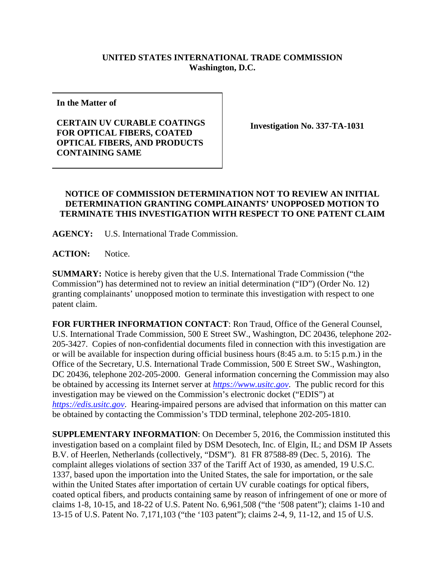## **UNITED STATES INTERNATIONAL TRADE COMMISSION Washington, D.C.**

**In the Matter of**

**CERTAIN UV CURABLE COATINGS FOR OPTICAL FIBERS, COATED OPTICAL FIBERS, AND PRODUCTS CONTAINING SAME**

**Investigation No. 337-TA-1031**

## **NOTICE OF COMMISSION DETERMINATION NOT TO REVIEW AN INITIAL DETERMINATION GRANTING COMPLAINANTS' UNOPPOSED MOTION TO TERMINATE THIS INVESTIGATION WITH RESPECT TO ONE PATENT CLAIM**

**AGENCY:** U.S. International Trade Commission.

**ACTION:** Notice.

**SUMMARY:** Notice is hereby given that the U.S. International Trade Commission ("the Commission") has determined not to review an initial determination ("ID") (Order No. 12) granting complainants' unopposed motion to terminate this investigation with respect to one patent claim.

**FOR FURTHER INFORMATION CONTACT**: Ron Traud, Office of the General Counsel, U.S. International Trade Commission, 500 E Street SW., Washington, DC 20436, telephone 202- 205-3427. Copies of non-confidential documents filed in connection with this investigation are or will be available for inspection during official business hours (8:45 a.m. to 5:15 p.m.) in the Office of the Secretary, U.S. International Trade Commission, 500 E Street SW., Washington, DC 20436, telephone 202-205-2000. General information concerning the Commission may also be obtained by accessing its Internet server at *[https://www.usitc.gov](https://www.usitc.gov/)*. The public record for this investigation may be viewed on the Commission's electronic docket ("EDIS") at *[https://edis.usitc.gov](https://edis.usitc.gov/)*. Hearing-impaired persons are advised that information on this matter can be obtained by contacting the Commission's TDD terminal, telephone 202-205-1810.

**SUPPLEMENTARY INFORMATION**: On December 5, 2016, the Commission instituted this investigation based on a complaint filed by DSM Desotech, Inc. of Elgin, IL; and DSM IP Assets B.V. of Heerlen, Netherlands (collectively, "DSM"). 81 FR 87588-89 (Dec. 5, 2016). The complaint alleges violations of section 337 of the Tariff Act of 1930, as amended, 19 U.S.C. 1337, based upon the importation into the United States, the sale for importation, or the sale within the United States after importation of certain UV curable coatings for optical fibers, coated optical fibers, and products containing same by reason of infringement of one or more of claims 1-8, 10-15, and 18-22 of U.S. Patent No. 6,961,508 ("the '508 patent"); claims 1-10 and 13-15 of U.S. Patent No. 7,171,103 ("the '103 patent"); claims 2-4, 9, 11-12, and 15 of U.S.